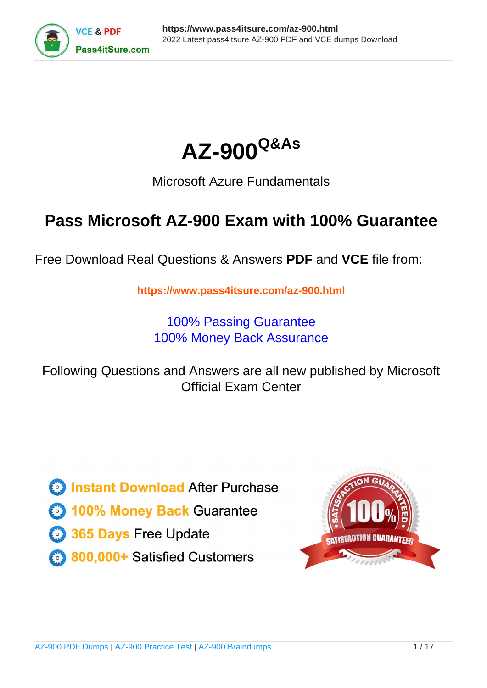



# Microsoft Azure Fundamentals

# **Pass Microsoft AZ-900 Exam with 100% Guarantee**

Free Download Real Questions & Answers **PDF** and **VCE** file from:

**https://www.pass4itsure.com/az-900.html**

100% Passing Guarantee 100% Money Back Assurance

Following Questions and Answers are all new published by Microsoft Official Exam Center

**C** Instant Download After Purchase

**83 100% Money Back Guarantee** 

- 365 Days Free Update
- 800,000+ Satisfied Customers  $\epsilon$  or

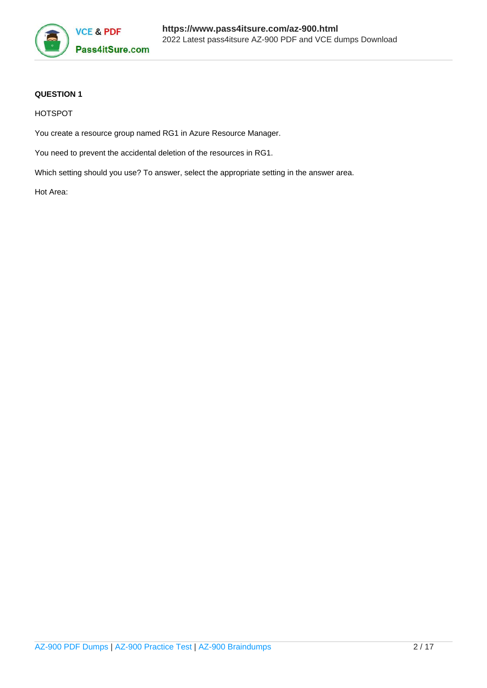

# **QUESTION 1**

HOTSPOT

You create a resource group named RG1 in Azure Resource Manager.

You need to prevent the accidental deletion of the resources in RG1.

Which setting should you use? To answer, select the appropriate setting in the answer area.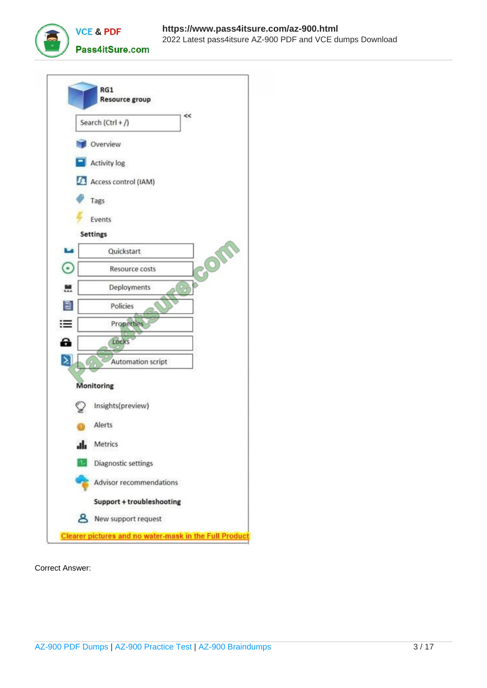



Correct Answer: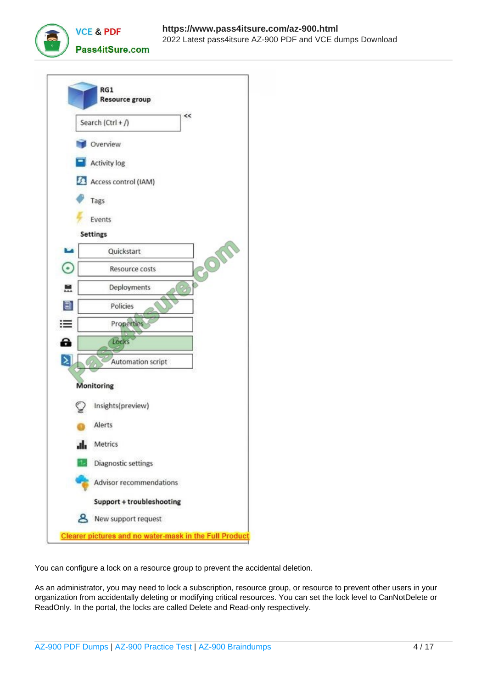



You can configure a lock on a resource group to prevent the accidental deletion.

As an administrator, you may need to lock a subscription, resource group, or resource to prevent other users in your organization from accidentally deleting or modifying critical resources. You can set the lock level to CanNotDelete or ReadOnly. In the portal, the locks are called Delete and Read-only respectively.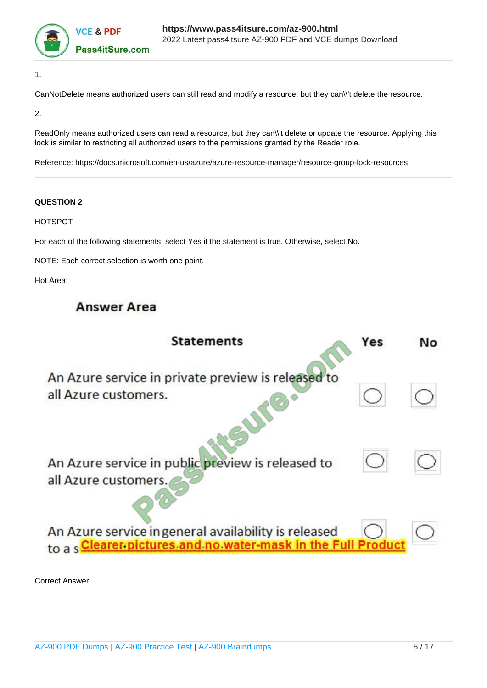

1.

CanNotDelete means authorized users can still read and modify a resource, but they can\\'t delete the resource.

2.

ReadOnly means authorized users can read a resource, but they can\\'t delete or update the resource. Applying this lock is similar to restricting all authorized users to the permissions granted by the Reader role.

Reference: https://docs.microsoft.com/en-us/azure/azure-resource-manager/resource-group-lock-resources

## **QUESTION 2**

HOTSPOT

For each of the following statements, select Yes if the statement is true. Otherwise, select No.

NOTE: Each correct selection is worth one point.

Hot Area:

# **Answer Area**

| <b>Statements</b>                                                                                                            | Yes | Νo |
|------------------------------------------------------------------------------------------------------------------------------|-----|----|
| An Azure service in private preview is released to<br>all Azure customers.                                                   |     |    |
| An Azure service in public preview is released to<br>all Azure customers.                                                    |     |    |
| An Azure service in general availability is released<br>to a s <b>Clearer pictures and no water-mask in the Full Product</b> |     |    |

Correct Answer: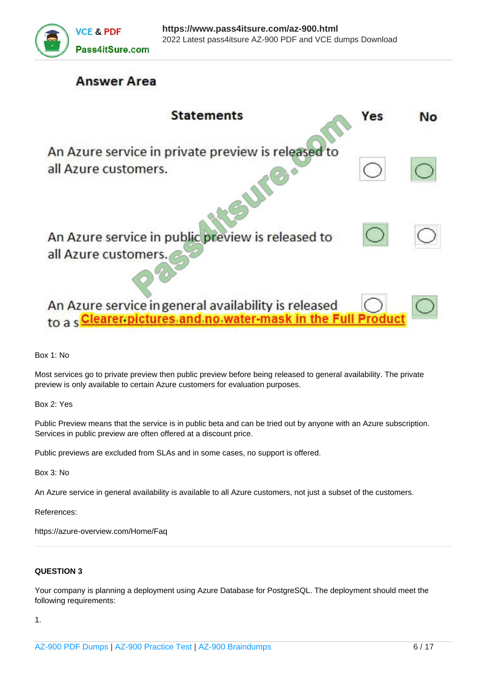

# **Answer Area**

| <b>Statements</b>                                                                                                     | Yes | Nο |
|-----------------------------------------------------------------------------------------------------------------------|-----|----|
| An Azure service in private preview is released to<br>all Azure customers.                                            |     |    |
| An Azure service in public preview is released to<br>all Azure customers.                                             |     |    |
| An Azure service in general availability is released<br><b>Clearer pictures and no water-mask in the Full Product</b> |     |    |

Box 1: No

Most services go to private preview then public preview before being released to general availability. The private preview is only available to certain Azure customers for evaluation purposes.

Box 2: Yes

Public Preview means that the service is in public beta and can be tried out by anyone with an Azure subscription. Services in public preview are often offered at a discount price.

Public previews are excluded from SLAs and in some cases, no support is offered.

Box 3: No

An Azure service in general availability is available to all Azure customers, not just a subset of the customers.

References:

https://azure-overview.com/Home/Faq

#### **QUESTION 3**

Your company is planning a deployment using Azure Database for PostgreSQL. The deployment should meet the following requirements:

1.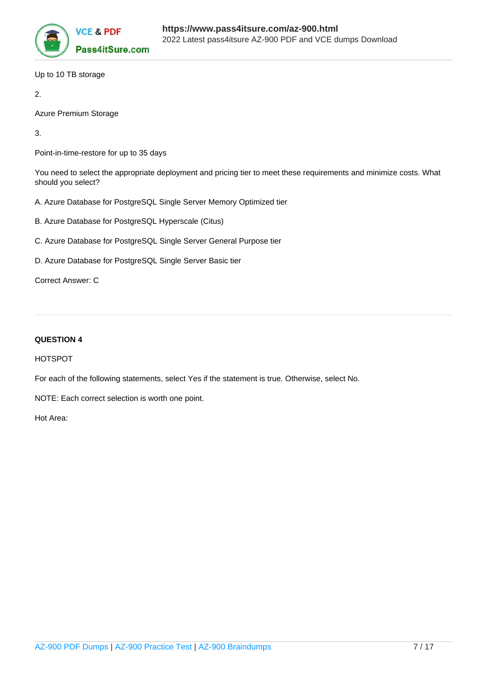

Up to 10 TB storage

2.

Azure Premium Storage

3.

Point-in-time-restore for up to 35 days

You need to select the appropriate deployment and pricing tier to meet these requirements and minimize costs. What should you select?

- A. Azure Database for PostgreSQL Single Server Memory Optimized tier
- B. Azure Database for PostgreSQL Hyperscale (Citus)
- C. Azure Database for PostgreSQL Single Server General Purpose tier
- D. Azure Database for PostgreSQL Single Server Basic tier

Correct Answer: C

# **QUESTION 4**

HOTSPOT

For each of the following statements, select Yes if the statement is true. Otherwise, select No.

NOTE: Each correct selection is worth one point.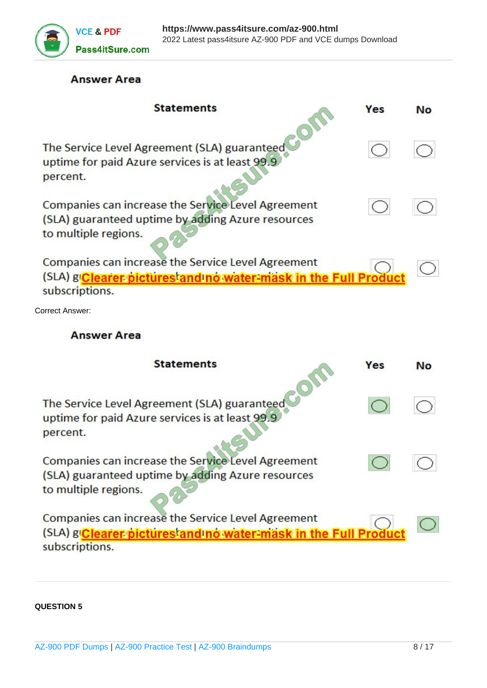

# **Answer Area**

| <b>Statements</b>                                                                                                                      | Yes | No        |
|----------------------------------------------------------------------------------------------------------------------------------------|-----|-----------|
| The Service Level Agreement (SLA) guaranteed<br>uptime for paid Azure services is at least 99.9<br>percent.                            |     |           |
| Companies can increase the Service Level Agreement<br>(SLA) guaranteed uptime by adding Azure resources<br>to multiple regions.        |     |           |
| Companies can increase the Service Level Agreement<br>(SLA) g'Clearer pictures and no water-mask in the Full Product<br>subscriptions. |     |           |
| Correct Answer:                                                                                                                        |     |           |
| <b>Answer Area</b>                                                                                                                     |     |           |
| <b>Statements</b>                                                                                                                      | Yes | <b>No</b> |
| The Service Level Agreement (SLA) guaranteed<br>uptime for paid Azure services is at least 99.9<br>percent.                            |     |           |
| Companies can increase the Service Level Agreement                                                                                     |     |           |
| (SLA) guaranteed uptime by adding Azure resources<br>to multiple regions.                                                              |     |           |

**QUESTION 5**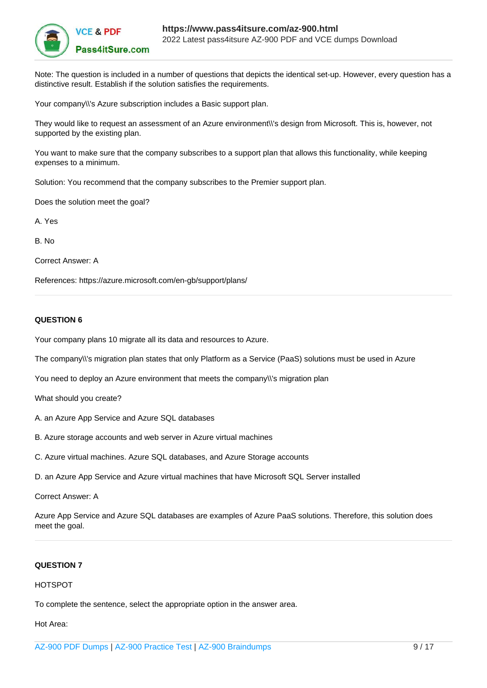

Note: The question is included in a number of questions that depicts the identical set-up. However, every question has a distinctive result. Establish if the solution satisfies the requirements.

Your company\\'s Azure subscription includes a Basic support plan.

They would like to request an assessment of an Azure environment\\'s design from Microsoft. This is, however, not supported by the existing plan.

You want to make sure that the company subscribes to a support plan that allows this functionality, while keeping expenses to a minimum.

Solution: You recommend that the company subscribes to the Premier support plan.

Does the solution meet the goal?

A. Yes

B. No

Correct Answer: A

References: https://azure.microsoft.com/en-gb/support/plans/

## **QUESTION 6**

Your company plans 10 migrate all its data and resources to Azure.

The company\\'s migration plan states that only Platform as a Service (PaaS) solutions must be used in Azure

You need to deploy an Azure environment that meets the company\\'s migration plan

What should you create?

- A. an Azure App Service and Azure SQL databases
- B. Azure storage accounts and web server in Azure virtual machines
- C. Azure virtual machines. Azure SQL databases, and Azure Storage accounts
- D. an Azure App Service and Azure virtual machines that have Microsoft SQL Server installed

Correct Answer: A

Azure App Service and Azure SQL databases are examples of Azure PaaS solutions. Therefore, this solution does meet the goal.

#### **QUESTION 7**

### HOTSPOT

To complete the sentence, select the appropriate option in the answer area.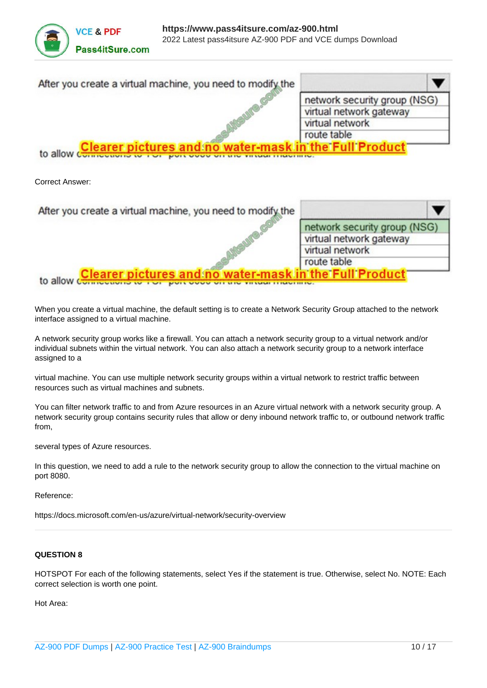| After you create a virtual machine, you need to modify the                            |                              |
|---------------------------------------------------------------------------------------|------------------------------|
|                                                                                       | network security group (NSG) |
|                                                                                       | virtual network gateway      |
|                                                                                       | virtual network              |
|                                                                                       | route table                  |
| <b>Clearer pictures and no water-mask in the Full Product</b><br>to allow comments in |                              |

Correct Answer:

| After you create a virtual machine, you need to modify the                              |                              |
|-----------------------------------------------------------------------------------------|------------------------------|
|                                                                                         | network security group (NSG) |
|                                                                                         | virtual network gateway      |
|                                                                                         | virtual network              |
|                                                                                         | route table                  |
| <b>Clearer pictures and no water-mask in the Full Product</b><br>to allow $\frac{1}{2}$ |                              |

When you create a virtual machine, the default setting is to create a Network Security Group attached to the network interface assigned to a virtual machine.

A network security group works like a firewall. You can attach a network security group to a virtual network and/or individual subnets within the virtual network. You can also attach a network security group to a network interface assigned to a

virtual machine. You can use multiple network security groups within a virtual network to restrict traffic between resources such as virtual machines and subnets.

You can filter network traffic to and from Azure resources in an Azure virtual network with a network security group. A network security group contains security rules that allow or deny inbound network traffic to, or outbound network traffic from,

several types of Azure resources.

In this question, we need to add a rule to the network security group to allow the connection to the virtual machine on port 8080.

Reference:

https://docs.microsoft.com/en-us/azure/virtual-network/security-overview

## **QUESTION 8**

HOTSPOT For each of the following statements, select Yes if the statement is true. Otherwise, select No. NOTE: Each correct selection is worth one point.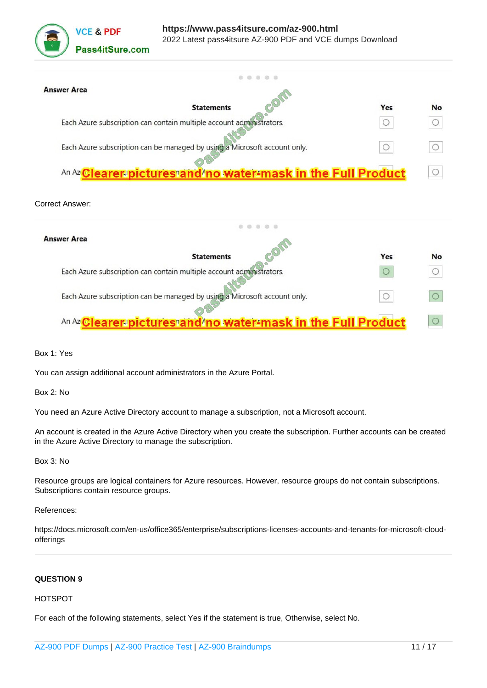

| <b>Answer Area</b>                                                        |     |           |
|---------------------------------------------------------------------------|-----|-----------|
| <b>Statements</b>                                                         | Yes | <b>No</b> |
| Each Azure subscription can contain multiple account administrators.      |     |           |
| Each Azure subscription can be managed by using a Microsoft account only. |     |           |
| An Az Clearer pictures and no water-mask in the Full Product              |     |           |

#### Correct Answer:

| <b>Answer Area</b>                                                        |     |           |
|---------------------------------------------------------------------------|-----|-----------|
| <b>Statements</b>                                                         | Yes | <b>No</b> |
| Each Azure subscription can contain multiple account administrators.      |     |           |
| Each Azure subscription can be managed by using a Microsoft account only. |     |           |
| An Az Clearer pictures and no water-mask in the Full Product              |     |           |

Box 1: Yes

You can assign additional account administrators in the Azure Portal.

Box 2: No

You need an Azure Active Directory account to manage a subscription, not a Microsoft account.

An account is created in the Azure Active Directory when you create the subscription. Further accounts can be created in the Azure Active Directory to manage the subscription.

Box 3: No

Resource groups are logical containers for Azure resources. However, resource groups do not contain subscriptions. Subscriptions contain resource groups.

References:

https://docs.microsoft.com/en-us/office365/enterprise/subscriptions-licenses-accounts-and-tenants-for-microsoft-cloudofferings

# **QUESTION 9**

#### HOTSPOT

For each of the following statements, select Yes if the statement is true, Otherwise, select No.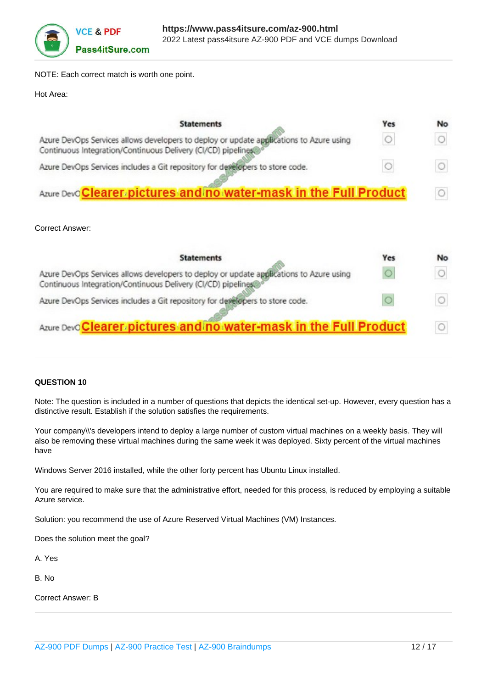

NOTE: Each correct match is worth one point.

#### Hot Area:

| <b>Statements</b>                                                                                                                                        | Yes | No |
|----------------------------------------------------------------------------------------------------------------------------------------------------------|-----|----|
| Azure DevOps Services allows developers to deploy or update applications to Azure using<br>Continuous Integration/Continuous Delivery (CI/CD) pipelines® |     |    |
| Azure DevOps Services includes a Git repository for developers to store code.                                                                            |     |    |
| Azure Devo Clearer pictures and no water-mask in the Full Product                                                                                        |     |    |

# Correct Answer:

| <b>Statements</b>                                                                                                                                       | Yes | <b>No</b> |
|---------------------------------------------------------------------------------------------------------------------------------------------------------|-----|-----------|
| Azure DevOps Services allows developers to deploy or update applications to Azure using<br>Continuous Integration/Continuous Delivery (CI/CD) pipelines |     |           |
| Azure DevOps Services includes a Git repository for developers to store code.                                                                           |     |           |
| Azure Devo Clearer pictures and no water-mask in the Full Product                                                                                       |     |           |

## **QUESTION 10**

Note: The question is included in a number of questions that depicts the identical set-up. However, every question has a distinctive result. Establish if the solution satisfies the requirements.

Your company\\'s developers intend to deploy a large number of custom virtual machines on a weekly basis. They will also be removing these virtual machines during the same week it was deployed. Sixty percent of the virtual machines have

Windows Server 2016 installed, while the other forty percent has Ubuntu Linux installed.

You are required to make sure that the administrative effort, needed for this process, is reduced by employing a suitable Azure service.

Solution: you recommend the use of Azure Reserved Virtual Machines (VM) Instances.

Does the solution meet the goal?

A. Yes

B. No

Correct Answer: B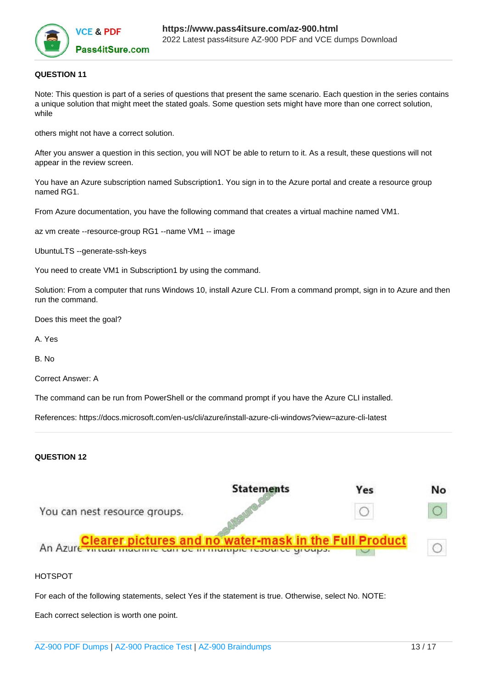

## **QUESTION 11**

Note: This question is part of a series of questions that present the same scenario. Each question in the series contains a unique solution that might meet the stated goals. Some question sets might have more than one correct solution, while

others might not have a correct solution.

After you answer a question in this section, you will NOT be able to return to it. As a result, these questions will not appear in the review screen.

You have an Azure subscription named Subscription1. You sign in to the Azure portal and create a resource group named RG1.

From Azure documentation, you have the following command that creates a virtual machine named VM1.

az vm create --resource-group RG1 --name VM1 -- image

UbuntuLTS --generate-ssh-keys

You need to create VM1 in Subscription1 by using the command.

Solution: From a computer that runs Windows 10, install Azure CLI. From a command prompt, sign in to Azure and then run the command.

Does this meet the goal?

A. Yes

B. No

Correct Answer: A

The command can be run from PowerShell or the command prompt if you have the Azure CLI installed.

References: https://docs.microsoft.com/en-us/cli/azure/install-azure-cli-windows?view=azure-cli-latest

# **QUESTION 12**



## HOTSPOT

For each of the following statements, select Yes if the statement is true. Otherwise, select No. NOTE:

Each correct selection is worth one point.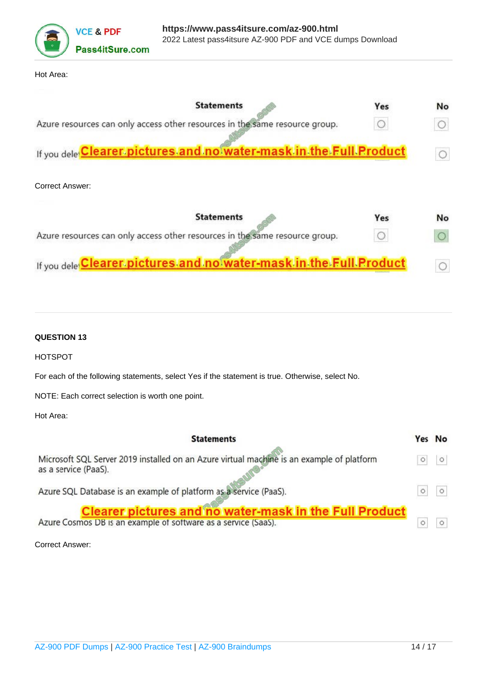

#### Hot Area:

| Yes                                                                | No |
|--------------------------------------------------------------------|----|
|                                                                    |    |
| If you dele Clearer pictures and no water-mask in the Full Product |    |
|                                                                    |    |
| Yes                                                                | No |
|                                                                    |    |
|                                                                    |    |

If you delet Clearer pictures and no water-mask in the Full Product  $\circ$ 

## **QUESTION 13**

HOTSPOT

For each of the following statements, select Yes if the statement is true. Otherwise, select No.

NOTE: Each correct selection is worth one point.

Hot Area:

| <b>Statements</b>                                                                                                               | Yes No  |
|---------------------------------------------------------------------------------------------------------------------------------|---------|
| Microsoft SQL Server 2019 installed on an Azure virtual machine is an example of platform<br>as a service (PaaS).               | $\circ$ |
| Azure SQL Database is an example of platform as a service (PaaS).                                                               |         |
| <b>Clearer pictures and no water-mask in the Full Product</b><br>Azure Cosmos DB is an example of software as a service (SaaS). |         |

Correct Answer: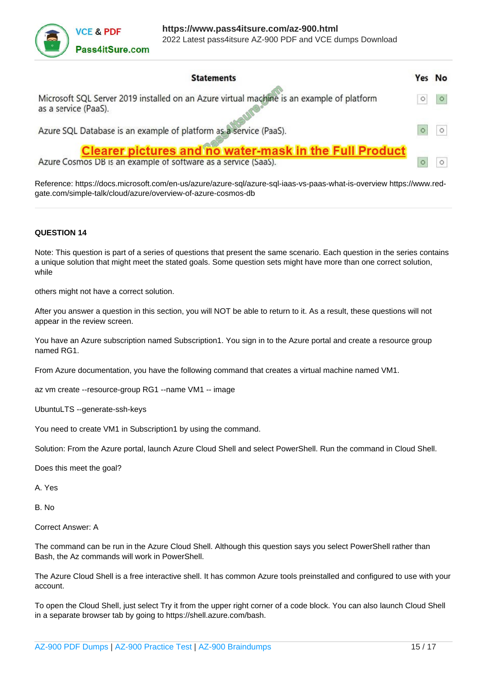

| <b>Statements</b>                                                                                                               | Yes No  |
|---------------------------------------------------------------------------------------------------------------------------------|---------|
| Microsoft SQL Server 2019 installed on an Azure virtual machine is an example of platform<br>as a service (PaaS).               | $\circ$ |
| Azure SQL Database is an example of platform as a service (PaaS).                                                               |         |
| <b>Clearer pictures and no water-mask in the Full Product</b><br>Azure Cosmos DB is an example of software as a service (SaaS). |         |

Reference: https://docs.microsoft.com/en-us/azure/azure-sql/azure-sql-iaas-vs-paas-what-is-overview https://www.redgate.com/simple-talk/cloud/azure/overview-of-azure-cosmos-db

## **QUESTION 14**

Note: This question is part of a series of questions that present the same scenario. Each question in the series contains a unique solution that might meet the stated goals. Some question sets might have more than one correct solution, while

others might not have a correct solution.

After you answer a question in this section, you will NOT be able to return to it. As a result, these questions will not appear in the review screen.

You have an Azure subscription named Subscription1. You sign in to the Azure portal and create a resource group named RG1.

From Azure documentation, you have the following command that creates a virtual machine named VM1.

az vm create --resource-group RG1 --name VM1 -- image

UbuntuLTS --generate-ssh-keys

You need to create VM1 in Subscription1 by using the command.

Solution: From the Azure portal, launch Azure Cloud Shell and select PowerShell. Run the command in Cloud Shell.

Does this meet the goal?

A. Yes

B. No

Correct Answer: A

The command can be run in the Azure Cloud Shell. Although this question says you select PowerShell rather than Bash, the Az commands will work in PowerShell.

The Azure Cloud Shell is a free interactive shell. It has common Azure tools preinstalled and configured to use with your account.

To open the Cloud Shell, just select Try it from the upper right corner of a code block. You can also launch Cloud Shell in a separate browser tab by going to https://shell.azure.com/bash.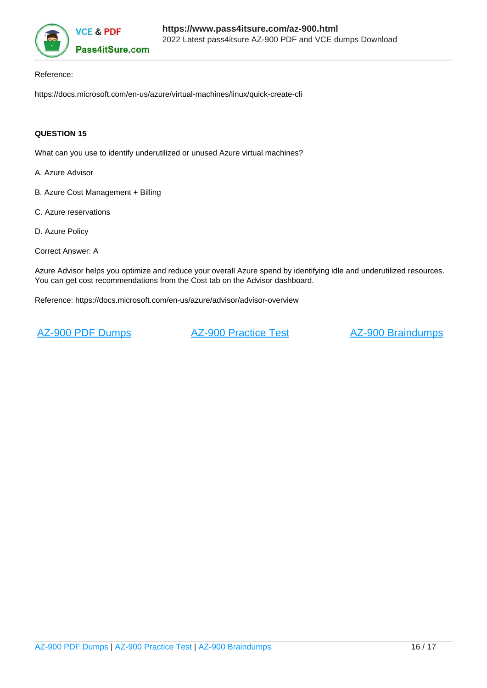

#### Reference:

https://docs.microsoft.com/en-us/azure/virtual-machines/linux/quick-create-cli

# **QUESTION 15**

What can you use to identify underutilized or unused Azure virtual machines?

- A. Azure Advisor
- B. Azure Cost Management + Billing
- C. Azure reservations
- D. Azure Policy
- Correct Answer: A

Azure Advisor helps you optimize and reduce your overall Azure spend by identifying idle and underutilized resources. You can get cost recommendations from the Cost tab on the Advisor dashboard.

Reference: https://docs.microsoft.com/en-us/azure/advisor/advisor-overview

[AZ-900 PDF Dumps](https://www.pass4itsure.com/az-900.html) **[AZ-900 Practice Test](https://www.pass4itsure.com/az-900.html)** [AZ-900 Braindumps](https://www.pass4itsure.com/az-900.html)